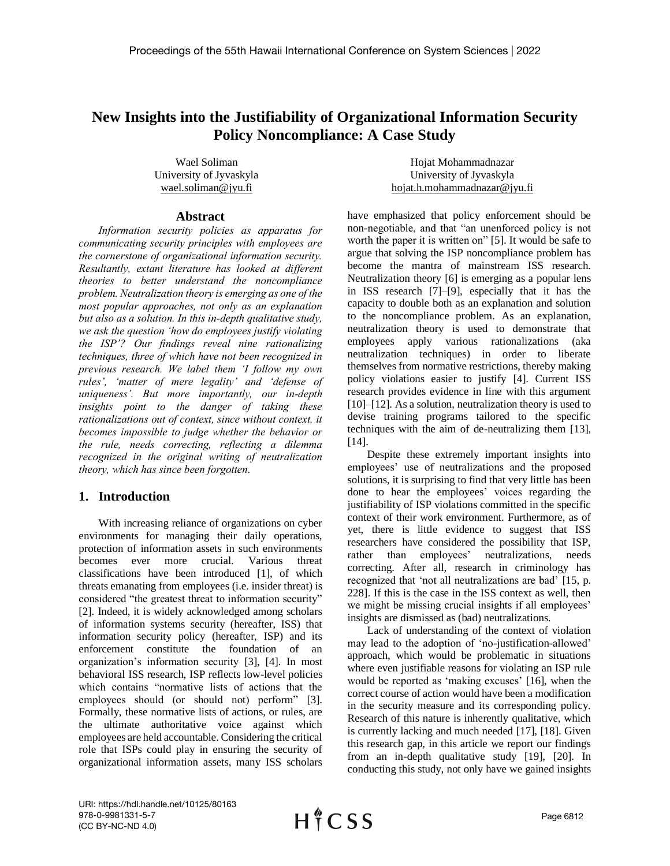# **New Insights into the Justifiability of Organizational Information Security Policy Noncompliance: A Case Study**

Wael Soliman University of Jyvaskyla wael.soliman@jyu.fi

Hojat Mohammadnazar University of Jyvaskyla hojat.h.mohammadnazar@jyu.fi

#### **Abstract**

*Information security policies as apparatus for communicating security principles with employees are the cornerstone of organizational information security. Resultantly, extant literature has looked at different theories to better understand the noncompliance problem. Neutralization theory is emerging as one of the most popular approaches, not only as an explanation but also as a solution. In this in-depth qualitative study, we ask the question 'how do employees justify violating the ISP'? Our findings reveal nine rationalizing techniques, three of which have not been recognized in previous research. We label them 'I follow my own rules', 'matter of mere legality' and 'defense of uniqueness'. But more importantly, our in-depth insights point to the danger of taking these rationalizations out of context, since without context, it becomes impossible to judge whether the behavior or the rule, needs correcting, reflecting a dilemma recognized in the original writing of neutralization theory, which has since been forgotten.*

## **1. Introduction**

With increasing reliance of organizations on cyber environments for managing their daily operations, protection of information assets in such environments becomes ever more crucial. Various threat classifications have been introduced [1], of which threats emanating from employees (i.e. insider threat) is considered "the greatest threat to information security" [2]. Indeed, it is widely acknowledged among scholars of information systems security (hereafter, ISS) that information security policy (hereafter, ISP) and its enforcement constitute the foundation of an organization's information security [3], [4]. In most behavioral ISS research, ISP reflects low-level policies which contains "normative lists of actions that the employees should (or should not) perform" [3]. Formally, these normative lists of actions, or rules, are the ultimate authoritative voice against which employees are held accountable. Considering the critical role that ISPs could play in ensuring the security of organizational information assets, many ISS scholars have emphasized that policy enforcement should be non-negotiable, and that "an unenforced policy is not worth the paper it is written on" [5]. It would be safe to argue that solving the ISP noncompliance problem has become the mantra of mainstream ISS research. Neutralization theory [6] is emerging as a popular lens in ISS research [7]–[9], especially that it has the capacity to double both as an explanation and solution to the noncompliance problem. As an explanation, neutralization theory is used to demonstrate that employees apply various rationalizations (aka neutralization techniques) in order to liberate themselves from normative restrictions, thereby making policy violations easier to justify [4]. Current ISS research provides evidence in line with this argument [10]–[12]. As a solution, neutralization theory is used to devise training programs tailored to the specific techniques with the aim of de-neutralizing them [13], [14].

Despite these extremely important insights into employees' use of neutralizations and the proposed solutions, it is surprising to find that very little has been done to hear the employees' voices regarding the justifiability of ISP violations committed in the specific context of their work environment. Furthermore, as of yet, there is little evidence to suggest that ISS researchers have considered the possibility that ISP, rather than employees' neutralizations, needs correcting. After all, research in criminology has recognized that 'not all neutralizations are bad' [15, p. 228]. If this is the case in the ISS context as well, then we might be missing crucial insights if all employees' insights are dismissed as (bad) neutralizations.

Lack of understanding of the context of violation may lead to the adoption of 'no-justification-allowed' approach, which would be problematic in situations where even justifiable reasons for violating an ISP rule would be reported as 'making excuses' [16], when the correct course of action would have been a modification in the security measure and its corresponding policy. Research of this nature is inherently qualitative, which is currently lacking and much needed [17], [18]. Given this research gap, in this article we report our findings from an in-depth qualitative study [19], [20]. In conducting this study, not only have we gained insights

URI: https://hdl.handle.net/10125/80163 978-0-9981331-5-7 (CC BY-NC-ND 4.0)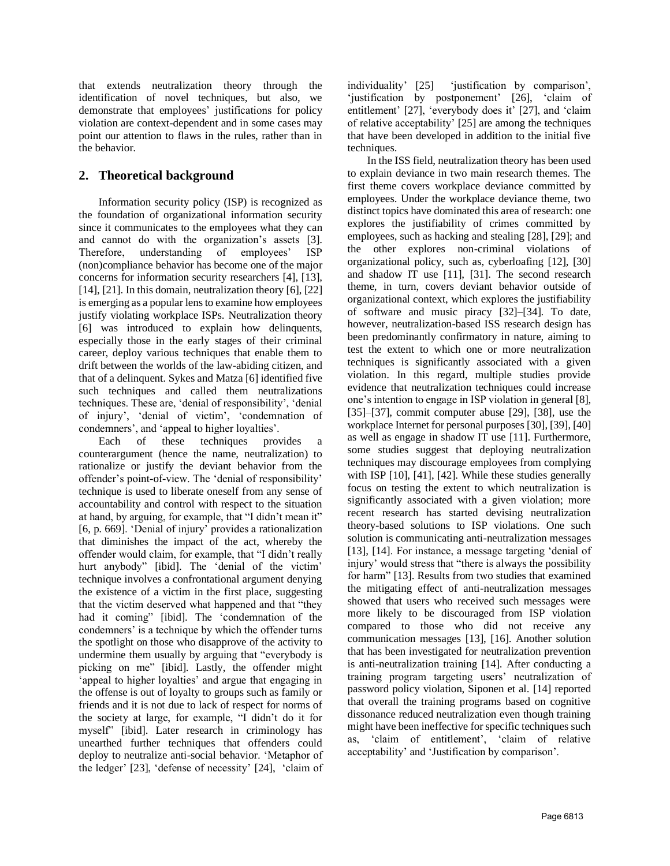that extends neutralization theory through the identification of novel techniques, but also, we demonstrate that employees' justifications for policy violation are context-dependent and in some cases may point our attention to flaws in the rules, rather than in the behavior.

# **2. Theoretical background**

Information security policy (ISP) is recognized as the foundation of organizational information security since it communicates to the employees what they can and cannot do with the organization's assets [3]. Therefore, understanding of employees' ISP (non)compliance behavior has become one of the major concerns for information security researchers [4], [13], [14], [21]. In this domain, neutralization theory [6], [22] is emerging as a popular lens to examine how employees justify violating workplace ISPs. Neutralization theory [6] was introduced to explain how delinquents, especially those in the early stages of their criminal career, deploy various techniques that enable them to drift between the worlds of the law-abiding citizen, and that of a delinquent. Sykes and Matza [6] identified five such techniques and called them neutralizations techniques. These are, 'denial of responsibility', 'denial of injury', 'denial of victim', 'condemnation of condemners', and 'appeal to higher loyalties'.

Each of these techniques provides a counterargument (hence the name, neutralization) to rationalize or justify the deviant behavior from the offender's point-of-view. The 'denial of responsibility' technique is used to liberate oneself from any sense of accountability and control with respect to the situation at hand, by arguing, for example, that "I didn't mean it" [6, p. 669]. 'Denial of injury' provides a rationalization that diminishes the impact of the act, whereby the offender would claim, for example, that "I didn't really hurt anybody" [ibid]. The 'denial of the victim' technique involves a confrontational argument denying the existence of a victim in the first place, suggesting that the victim deserved what happened and that "they had it coming" [ibid]. The 'condemnation of the condemners' is a technique by which the offender turns the spotlight on those who disapprove of the activity to undermine them usually by arguing that "everybody is picking on me" [ibid]. Lastly, the offender might 'appeal to higher loyalties' and argue that engaging in the offense is out of loyalty to groups such as family or friends and it is not due to lack of respect for norms of the society at large, for example, "I didn't do it for myself" [ibid]. Later research in criminology has unearthed further techniques that offenders could deploy to neutralize anti-social behavior. 'Metaphor of the ledger' [23], 'defense of necessity' [24], 'claim of

individuality' [25] 'justification by comparison', 'justification by postponement' [26], 'claim of entitlement' [27], 'everybody does it' [27], and 'claim of relative acceptability' [25] are among the techniques that have been developed in addition to the initial five techniques.

In the ISS field, neutralization theory has been used to explain deviance in two main research themes. The first theme covers workplace deviance committed by employees. Under the workplace deviance theme, two distinct topics have dominated this area of research: one explores the justifiability of crimes committed by employees, such as hacking and stealing [28], [29]; and the other explores non-criminal violations of organizational policy, such as, cyberloafing [12], [30] and shadow IT use [11], [31]. The second research theme, in turn, covers deviant behavior outside of organizational context, which explores the justifiability of software and music piracy [32]–[34]. To date, however, neutralization-based ISS research design has been predominantly confirmatory in nature, aiming to test the extent to which one or more neutralization techniques is significantly associated with a given violation. In this regard, multiple studies provide evidence that neutralization techniques could increase one's intention to engage in ISP violation in general [8], [35]–[37], commit computer abuse [29], [38], use the workplace Internet for personal purposes [30], [39], [40] as well as engage in shadow IT use [11]. Furthermore, some studies suggest that deploying neutralization techniques may discourage employees from complying with ISP [10], [41], [42]. While these studies generally focus on testing the extent to which neutralization is significantly associated with a given violation; more recent research has started devising neutralization theory-based solutions to ISP violations. One such solution is communicating anti-neutralization messages [13], [14]. For instance, a message targeting 'denial of injury' would stress that "there is always the possibility for harm" [13]. Results from two studies that examined the mitigating effect of anti-neutralization messages showed that users who received such messages were more likely to be discouraged from ISP violation compared to those who did not receive any communication messages [13], [16]. Another solution that has been investigated for neutralization prevention is anti-neutralization training [14]. After conducting a training program targeting users' neutralization of password policy violation, Siponen et al. [14] reported that overall the training programs based on cognitive dissonance reduced neutralization even though training might have been ineffective for specific techniques such as, 'claim of entitlement', 'claim of relative acceptability' and 'Justification by comparison'.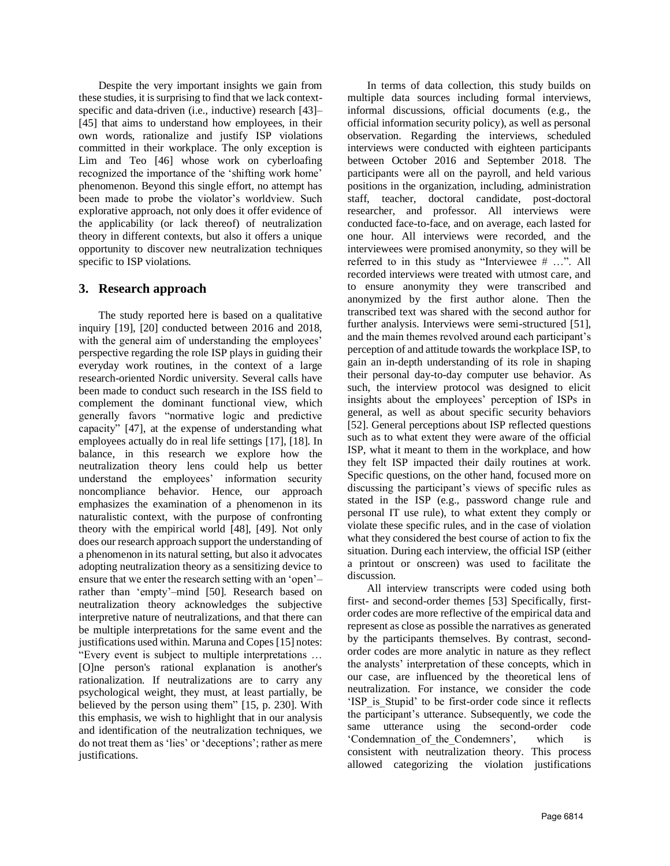Despite the very important insights we gain from these studies, it is surprising to find that we lack contextspecific and data-driven (i.e., inductive) research [43]– [45] that aims to understand how employees, in their own words, rationalize and justify ISP violations committed in their workplace. The only exception is Lim and Teo [46] whose work on cyberloafing recognized the importance of the 'shifting work home' phenomenon. Beyond this single effort, no attempt has been made to probe the violator's worldview. Such explorative approach, not only does it offer evidence of the applicability (or lack thereof) of neutralization theory in different contexts, but also it offers a unique opportunity to discover new neutralization techniques specific to ISP violations.

# **3. Research approach**

The study reported here is based on a qualitative inquiry [19], [20] conducted between 2016 and 2018, with the general aim of understanding the employees' perspective regarding the role ISP plays in guiding their everyday work routines, in the context of a large research-oriented Nordic university. Several calls have been made to conduct such research in the ISS field to complement the dominant functional view, which generally favors "normative logic and predictive capacity" [47], at the expense of understanding what employees actually do in real life settings [17], [18]. In balance, in this research we explore how the neutralization theory lens could help us better understand the employees' information security noncompliance behavior. Hence, our approach emphasizes the examination of a phenomenon in its naturalistic context, with the purpose of confronting theory with the empirical world [48], [49]. Not only does our research approach support the understanding of a phenomenon in its natural setting, but also it advocates adopting neutralization theory as a sensitizing device to ensure that we enter the research setting with an 'open'– rather than 'empty'–mind [50]. Research based on neutralization theory acknowledges the subjective interpretive nature of neutralizations, and that there can be multiple interpretations for the same event and the justifications used within. Maruna and Copes [15] notes: "Every event is subject to multiple interpretations … [O]ne person's rational explanation is another's rationalization. If neutralizations are to carry any psychological weight, they must, at least partially, be believed by the person using them" [15, p. 230]. With this emphasis, we wish to highlight that in our analysis and identification of the neutralization techniques, we do not treat them as 'lies' or 'deceptions'; rather as mere justifications.

In terms of data collection, this study builds on multiple data sources including formal interviews, informal discussions, official documents (e.g., the official information security policy), as well as personal observation. Regarding the interviews, scheduled interviews were conducted with eighteen participants between October 2016 and September 2018. The participants were all on the payroll, and held various positions in the organization, including, administration staff, teacher, doctoral candidate, post-doctoral researcher, and professor. All interviews were conducted face-to-face, and on average, each lasted for one hour. All interviews were recorded, and the interviewees were promised anonymity, so they will be referred to in this study as "Interviewee # …". All recorded interviews were treated with utmost care, and to ensure anonymity they were transcribed and anonymized by the first author alone. Then the transcribed text was shared with the second author for further analysis. Interviews were semi-structured [51], and the main themes revolved around each participant's perception of and attitude towards the workplace ISP, to gain an in-depth understanding of its role in shaping their personal day-to-day computer use behavior. As such, the interview protocol was designed to elicit insights about the employees' perception of ISPs in general, as well as about specific security behaviors [52]. General perceptions about ISP reflected questions such as to what extent they were aware of the official ISP, what it meant to them in the workplace, and how they felt ISP impacted their daily routines at work. Specific questions, on the other hand, focused more on discussing the participant's views of specific rules as stated in the ISP (e.g., password change rule and personal IT use rule), to what extent they comply or violate these specific rules, and in the case of violation what they considered the best course of action to fix the situation. During each interview, the official ISP (either a printout or onscreen) was used to facilitate the discussion.

All interview transcripts were coded using both first- and second-order themes [53] Specifically, firstorder codes are more reflective of the empirical data and represent as close as possible the narratives as generated by the participants themselves. By contrast, secondorder codes are more analytic in nature as they reflect the analysts' interpretation of these concepts, which in our case, are influenced by the theoretical lens of neutralization. For instance, we consider the code 'ISP\_is\_Stupid' to be first-order code since it reflects the participant's utterance. Subsequently, we code the same utterance using the second-order code 'Condemnation\_of\_the\_Condemners', which is consistent with neutralization theory. This process allowed categorizing the violation justifications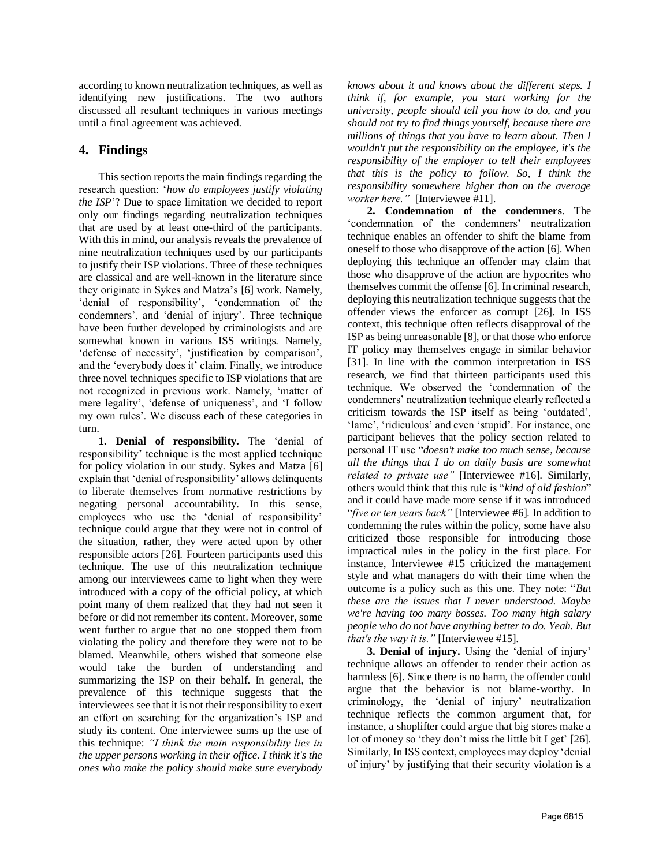according to known neutralization techniques, as well as identifying new justifications. The two authors discussed all resultant techniques in various meetings until a final agreement was achieved.

# **4. Findings**

This section reports the main findings regarding the research question: '*how do employees justify violating the ISP*'? Due to space limitation we decided to report only our findings regarding neutralization techniques that are used by at least one-third of the participants. With this in mind, our analysis reveals the prevalence of nine neutralization techniques used by our participants to justify their ISP violations. Three of these techniques are classical and are well-known in the literature since they originate in Sykes and Matza's [6] work. Namely, 'denial of responsibility', 'condemnation of the condemners', and 'denial of injury'. Three technique have been further developed by criminologists and are somewhat known in various ISS writings. Namely, 'defense of necessity', 'justification by comparison', and the 'everybody does it' claim. Finally, we introduce three novel techniques specific to ISP violations that are not recognized in previous work. Namely, 'matter of mere legality', 'defense of uniqueness', and 'I follow my own rules'. We discuss each of these categories in turn.

**1. Denial of responsibility.** The 'denial of responsibility' technique is the most applied technique for policy violation in our study. Sykes and Matza [6] explain that 'denial of responsibility' allows delinquents to liberate themselves from normative restrictions by negating personal accountability. In this sense, employees who use the 'denial of responsibility' technique could argue that they were not in control of the situation, rather, they were acted upon by other responsible actors [26]. Fourteen participants used this technique. The use of this neutralization technique among our interviewees came to light when they were introduced with a copy of the official policy, at which point many of them realized that they had not seen it before or did not remember its content. Moreover, some went further to argue that no one stopped them from violating the policy and therefore they were not to be blamed. Meanwhile, others wished that someone else would take the burden of understanding and summarizing the ISP on their behalf. In general, the prevalence of this technique suggests that the interviewees see that it is not their responsibility to exert an effort on searching for the organization's ISP and study its content. One interviewee sums up the use of this technique: *"I think the main responsibility lies in the upper persons working in their office. I think it's the ones who make the policy should make sure everybody* 

*knows about it and knows about the different steps. I think if, for example, you start working for the university, people should tell you how to do, and you should not try to find things yourself, because there are millions of things that you have to learn about. Then I wouldn't put the responsibility on the employee, it's the responsibility of the employer to tell their employees that this is the policy to follow. So, I think the responsibility somewhere higher than on the average worker here."* [Interviewee #11].

**2. Condemnation of the condemners**. The 'condemnation of the condemners' neutralization technique enables an offender to shift the blame from oneself to those who disapprove of the action [6]. When deploying this technique an offender may claim that those who disapprove of the action are hypocrites who themselves commit the offense [6]. In criminal research, deploying this neutralization technique suggests that the offender views the enforcer as corrupt [26]. In ISS context, this technique often reflects disapproval of the ISP as being unreasonable [8], or that those who enforce IT policy may themselves engage in similar behavior [31]. In line with the common interpretation in ISS research, we find that thirteen participants used this technique. We observed the 'condemnation of the condemners' neutralization technique clearly reflected a criticism towards the ISP itself as being 'outdated', 'lame', 'ridiculous' and even 'stupid'. For instance, one participant believes that the policy section related to personal IT use "*doesn't make too much sense, because all the things that I do on daily basis are somewhat related to private use"* [Interviewee #16]. Similarly, others would think that this rule is "*kind of old fashion*" and it could have made more sense if it was introduced "*five or ten years back"* [Interviewee #6]*.* In addition to condemning the rules within the policy, some have also criticized those responsible for introducing those impractical rules in the policy in the first place. For instance, Interviewee #15 criticized the management style and what managers do with their time when the outcome is a policy such as this one. They note: "*But these are the issues that I never understood. Maybe we're having too many bosses. Too many high salary people who do not have anything better to do. Yeah. But that's the way it is."* [Interviewee #15].

**3. Denial of injury.** Using the 'denial of injury' technique allows an offender to render their action as harmless [6]. Since there is no harm, the offender could argue that the behavior is not blame-worthy. In criminology, the 'denial of injury' neutralization technique reflects the common argument that, for instance, a shoplifter could argue that big stores make a lot of money so 'they don't miss the little bit I get' [26]. Similarly, In ISS context, employees may deploy 'denial of injury' by justifying that their security violation is a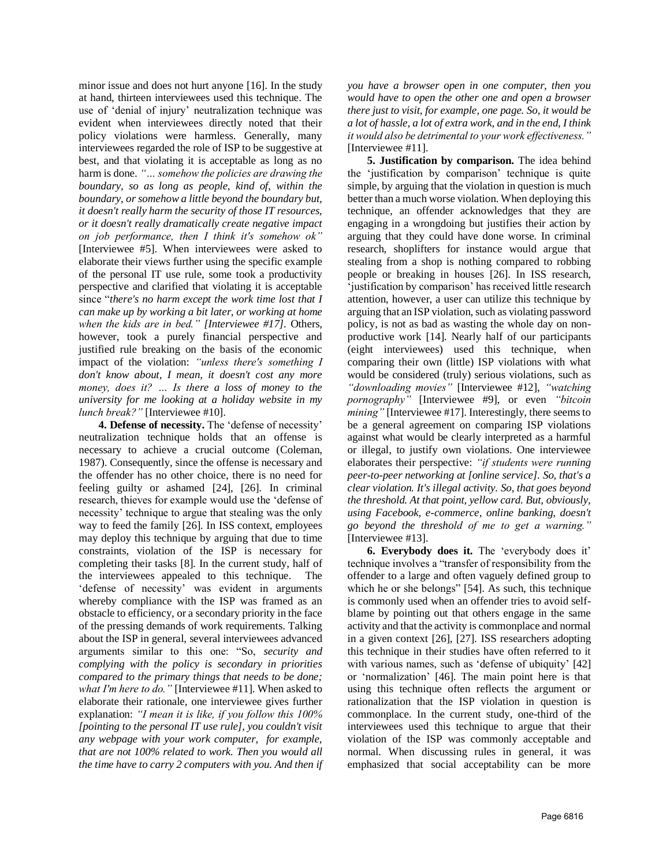minor issue and does not hurt anyone [16]. In the study at hand, thirteen interviewees used this technique. The use of 'denial of injury' neutralization technique was evident when interviewees directly noted that their policy violations were harmless. Generally, many interviewees regarded the role of ISP to be suggestive at best, and that violating it is acceptable as long as no harm is done. *"… somehow the policies are drawing the boundary, so as long as people, kind of, within the boundary, or somehow a little beyond the boundary but, it doesn't really harm the security of those IT resources, or it doesn't really dramatically create negative impact on job performance, then I think it's somehow ok"* [Interviewee #5]. When interviewees were asked to elaborate their views further using the specific example of the personal IT use rule, some took a productivity perspective and clarified that violating it is acceptable since "*there's no harm except the work time lost that I can make up by working a bit later, or working at home when the kids are in bed." [Interviewee #17].* Others, however, took a purely financial perspective and justified rule breaking on the basis of the economic impact of the violation: *"unless there's something I don't know about, I mean, it doesn't cost any more money, does it? … Is there a loss of money to the university for me looking at a holiday website in my lunch break?"* [Interviewee #10].

**4. Defense of necessity.** The 'defense of necessity' neutralization technique holds that an offense is necessary to achieve a crucial outcome (Coleman, 1987). Consequently, since the offense is necessary and the offender has no other choice, there is no need for feeling guilty or ashamed [24], [26]. In criminal research, thieves for example would use the 'defense of necessity' technique to argue that stealing was the only way to feed the family [26]. In ISS context, employees may deploy this technique by arguing that due to time constraints, violation of the ISP is necessary for completing their tasks [8]. In the current study, half of the interviewees appealed to this technique. The 'defense of necessity' was evident in arguments whereby compliance with the ISP was framed as an obstacle to efficiency, or a secondary priority in the face of the pressing demands of work requirements. Talking about the ISP in general, several interviewees advanced arguments similar to this one: "So, *security and complying with the policy is secondary in priorities compared to the primary things that needs to be done; what I'm here to do."* [Interviewee #11]. When asked to elaborate their rationale, one interviewee gives further explanation: *"I mean it is like, if you follow this 100% [pointing to the personal IT use rule], you couldn't visit any webpage with your work computer, for example, that are not 100% related to work. Then you would all the time have to carry 2 computers with you. And then if*  *you have a browser open in one computer, then you would have to open the other one and open a browser there just to visit, for example, one page. So, it would be a lot of hassle, a lot of extra work, and in the end, I think it would also be detrimental to your work effectiveness."* [Interviewee #11].

**5. Justification by comparison.** The idea behind the 'justification by comparison' technique is quite simple, by arguing that the violation in question is much better than a much worse violation. When deploying this technique, an offender acknowledges that they are engaging in a wrongdoing but justifies their action by arguing that they could have done worse. In criminal research, shoplifters for instance would argue that stealing from a shop is nothing compared to robbing people or breaking in houses [26]. In ISS research, 'justification by comparison' has received little research attention, however, a user can utilize this technique by arguing that an ISP violation, such as violating password policy, is not as bad as wasting the whole day on nonproductive work [14]. Nearly half of our participants (eight interviewees) used this technique, when comparing their own (little) ISP violations with what would be considered (truly) serious violations, such as *"downloading movies"* [Interviewee #12], *"watching pornography"* [Interviewee #9], or even *"bitcoin mining*" [Interviewee #17]. Interestingly, there seems to be a general agreement on comparing ISP violations against what would be clearly interpreted as a harmful or illegal, to justify own violations. One interviewee elaborates their perspective: *"if students were running peer-to-peer networking at [online service]. So, that's a clear violation. It's illegal activity. So, that goes beyond the threshold. At that point, yellow card. But, obviously, using Facebook, e-commerce, online banking, doesn't go beyond the threshold of me to get a warning."*  [Interviewee #13].

**6. Everybody does it.** The 'everybody does it' technique involves a "transfer of responsibility from the offender to a large and often vaguely defined group to which he or she belongs" [54]. As such, this technique is commonly used when an offender tries to avoid selfblame by pointing out that others engage in the same activity and that the activity is commonplace and normal in a given context [26], [27]. ISS researchers adopting this technique in their studies have often referred to it with various names, such as 'defense of ubiquity' [42] or 'normalization' [46]. The main point here is that using this technique often reflects the argument or rationalization that the ISP violation in question is commonplace. In the current study, one-third of the interviewees used this technique to argue that their violation of the ISP was commonly acceptable and normal. When discussing rules in general, it was emphasized that social acceptability can be more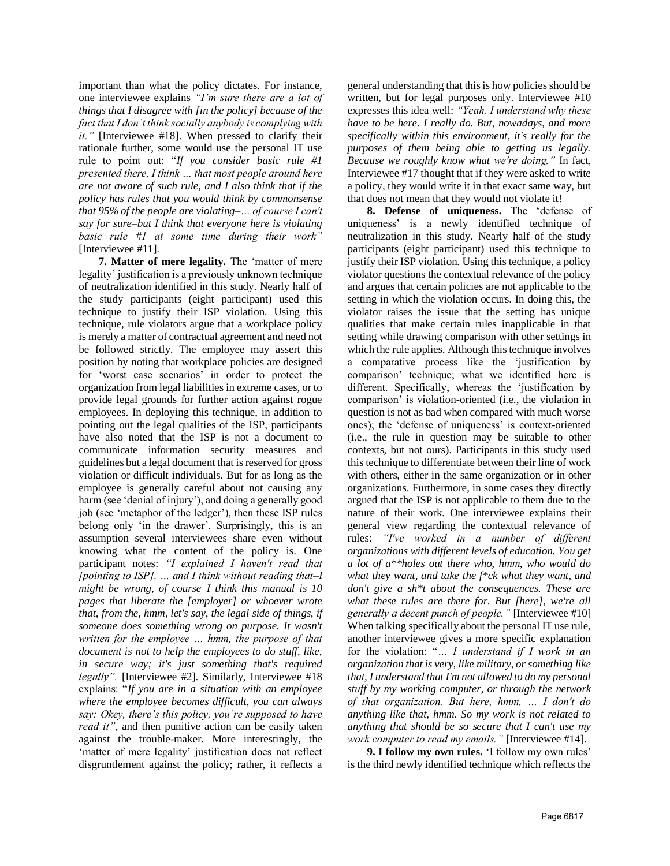important than what the policy dictates. For instance, one interviewee explains *"I'm sure there are a lot of things that I disagree with [in the policy] because of the fact that I don't think socially anybody is complying with it."* [Interviewee #18]. When pressed to clarify their rationale further, some would use the personal IT use rule to point out: "*If you consider basic rule #1 presented there, I think … that most people around here are not aware of such rule, and I also think that if the policy has rules that you would think by commonsense that 95% of the people are violating–… of course I can't say for sure–but I think that everyone here is violating basic rule #1 at some time during their work"*  [Interviewee #11]*.* 

**7. Matter of mere legality.** The 'matter of mere legality' justification is a previously unknown technique of neutralization identified in this study. Nearly half of the study participants (eight participant) used this technique to justify their ISP violation. Using this technique, rule violators argue that a workplace policy is merely a matter of contractual agreement and need not be followed strictly. The employee may assert this position by noting that workplace policies are designed for 'worst case scenarios' in order to protect the organization from legal liabilities in extreme cases, or to provide legal grounds for further action against rogue employees. In deploying this technique, in addition to pointing out the legal qualities of the ISP, participants have also noted that the ISP is not a document to communicate information security measures and guidelines but a legal document that is reserved for gross violation or difficult individuals. But for as long as the employee is generally careful about not causing any harm (see 'denial of injury'), and doing a generally good job (see 'metaphor of the ledger'), then these ISP rules belong only 'in the drawer'. Surprisingly, this is an assumption several interviewees share even without knowing what the content of the policy is. One participant notes: *"I explained I haven't read that [pointing to ISP], … and I think without reading that–I might be wrong, of course–I think this manual is 10 pages that liberate the [employer] or whoever wrote that, from the, hmm, let's say, the legal side of things, if someone does something wrong on purpose. It wasn't written for the employee … hmm, the purpose of that document is not to help the employees to do stuff, like, in secure way; it's just something that's required legally".* [Interviewee #2]. Similarly, Interviewee #18 explains: "*If you are in a situation with an employee where the employee becomes difficult, you can always say: Okey, there's this policy, you're supposed to have read it"*, and then punitive action can be easily taken against the trouble-maker. More interestingly, the 'matter of mere legality' justification does not reflect disgruntlement against the policy; rather, it reflects a

general understanding that this is how policies should be written, but for legal purposes only. Interviewee #10 expresses this idea well: *"Yeah. I understand why these have to be here. I really do. But, nowadays, and more specifically within this environment, it's really for the purposes of them being able to getting us legally. Because we roughly know what we're doing."* In fact, Interviewee #17 thought that if they were asked to write a policy, they would write it in that exact same way, but that does not mean that they would not violate it!

**8. Defense of uniqueness.** The 'defense of uniqueness' is a newly identified technique of neutralization in this study. Nearly half of the study participants (eight participant) used this technique to justify their ISP violation. Using this technique, a policy violator questions the contextual relevance of the policy and argues that certain policies are not applicable to the setting in which the violation occurs. In doing this, the violator raises the issue that the setting has unique qualities that make certain rules inapplicable in that setting while drawing comparison with other settings in which the rule applies. Although this technique involves a comparative process like the 'justification by comparison' technique; what we identified here is different. Specifically, whereas the 'justification by comparison' is violation-oriented (i.e., the violation in question is not as bad when compared with much worse ones); the 'defense of uniqueness' is context-oriented (i.e., the rule in question may be suitable to other contexts, but not ours). Participants in this study used this technique to differentiate between their line of work with others, either in the same organization or in other organizations. Furthermore, in some cases they directly argued that the ISP is not applicable to them due to the nature of their work. One interviewee explains their general view regarding the contextual relevance of rules: *"I've worked in a number of different organizations with different levels of education. You get a lot of a\*\*holes out there who, hmm, who would do what they want, and take the f\*ck what they want, and don't give a sh\*t about the consequences. These are what these rules are there for. But [here], we're all generally a decent punch of people."* [Interviewee #10] When talking specifically about the personal IT use rule, another interviewee gives a more specific explanation for the violation: "*… I understand if I work in an organization that is very, like military, or something like that, I understand that I'm not allowed to do my personal stuff by my working computer, or through the network of that organization. But here, hmm, … I don't do anything like that, hmm. So my work is not related to anything that should be so secure that I can't use my work computer to read my emails."* [Interviewee #14].

**9. I follow my own rules.** 'I follow my own rules' is the third newly identified technique which reflects the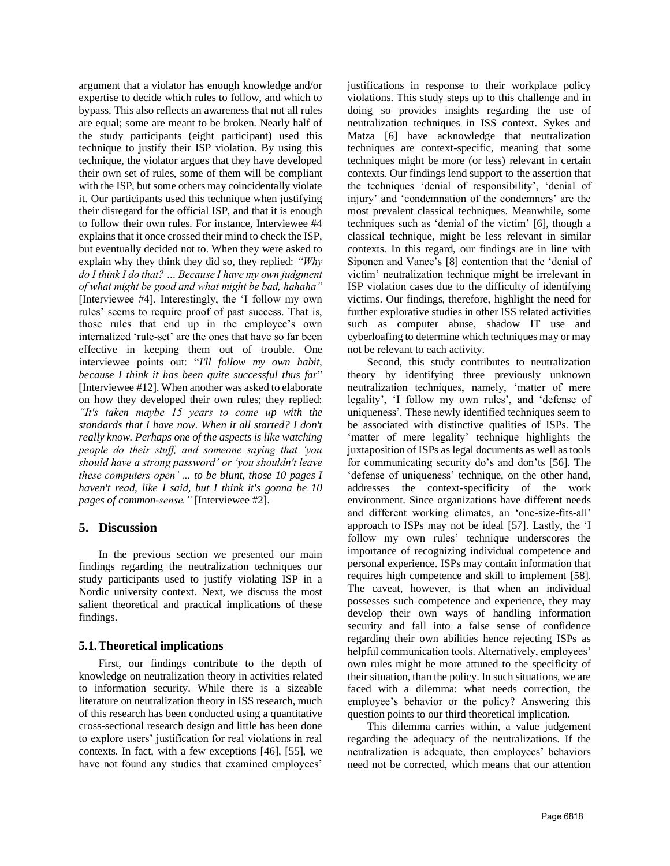argument that a violator has enough knowledge and/or expertise to decide which rules to follow, and which to bypass. This also reflects an awareness that not all rules are equal; some are meant to be broken. Nearly half of the study participants (eight participant) used this technique to justify their ISP violation. By using this technique, the violator argues that they have developed their own set of rules, some of them will be compliant with the ISP, but some others may coincidentally violate it. Our participants used this technique when justifying their disregard for the official ISP, and that it is enough to follow their own rules. For instance, Interviewee #4 explains that it once crossed their mind to check the ISP, but eventually decided not to. When they were asked to explain why they think they did so, they replied: *"Why do I think I do that? … Because I have my own judgment of what might be good and what might be bad, hahaha"* [Interviewee #4]. Interestingly, the 'I follow my own rules' seems to require proof of past success. That is, those rules that end up in the employee's own internalized 'rule-set' are the ones that have so far been effective in keeping them out of trouble. One interviewee points out: "*I'll follow my own habit, because I think it has been quite successful thus far*" [Interviewee #12]. When another was asked to elaborate on how they developed their own rules; they replied: *"It's taken maybe 15 years to come up with the standards that I have now. When it all started? I don't really know. Perhaps one of the aspects is like watching people do their stuff, and someone saying that 'you should have a strong password' or 'you shouldn't leave these computers open' ... to be blunt, those 10 pages I haven't read, like I said, but I think it's gonna be 10 pages of common-sense."* [Interviewee #2].

#### **5. Discussion**

In the previous section we presented our main findings regarding the neutralization techniques our study participants used to justify violating ISP in a Nordic university context. Next, we discuss the most salient theoretical and practical implications of these findings.

#### **5.1.Theoretical implications**

First, our findings contribute to the depth of knowledge on neutralization theory in activities related to information security. While there is a sizeable literature on neutralization theory in ISS research, much of this research has been conducted using a quantitative cross-sectional research design and little has been done to explore users' justification for real violations in real contexts. In fact, with a few exceptions [46], [55], we have not found any studies that examined employees'

justifications in response to their workplace policy violations. This study steps up to this challenge and in doing so provides insights regarding the use of neutralization techniques in ISS context. Sykes and Matza [6] have acknowledge that neutralization techniques are context-specific, meaning that some techniques might be more (or less) relevant in certain contexts. Our findings lend support to the assertion that the techniques 'denial of responsibility', 'denial of injury' and 'condemnation of the condemners' are the most prevalent classical techniques. Meanwhile, some techniques such as 'denial of the victim' [6], though a classical technique, might be less relevant in similar contexts. In this regard, our findings are in line with Siponen and Vance's [8] contention that the 'denial of victim' neutralization technique might be irrelevant in ISP violation cases due to the difficulty of identifying victims. Our findings, therefore, highlight the need for further explorative studies in other ISS related activities such as computer abuse, shadow IT use and cyberloafing to determine which techniques may or may not be relevant to each activity.

Second, this study contributes to neutralization theory by identifying three previously unknown neutralization techniques, namely, 'matter of mere legality', 'I follow my own rules', and 'defense of uniqueness'. These newly identified techniques seem to be associated with distinctive qualities of ISPs. The 'matter of mere legality' technique highlights the juxtaposition of ISPs as legal documents as well as tools for communicating security do's and don'ts [56]. The 'defense of uniqueness' technique, on the other hand, addresses the context-specificity of the work environment. Since organizations have different needs and different working climates, an 'one-size-fits-all' approach to ISPs may not be ideal [57]. Lastly, the 'I follow my own rules' technique underscores the importance of recognizing individual competence and personal experience. ISPs may contain information that requires high competence and skill to implement [58]. The caveat, however, is that when an individual possesses such competence and experience, they may develop their own ways of handling information security and fall into a false sense of confidence regarding their own abilities hence rejecting ISPs as helpful communication tools. Alternatively, employees' own rules might be more attuned to the specificity of their situation, than the policy. In such situations, we are faced with a dilemma: what needs correction, the employee's behavior or the policy? Answering this question points to our third theoretical implication.

This dilemma carries within, a value judgement regarding the adequacy of the neutralizations. If the neutralization is adequate, then employees' behaviors need not be corrected, which means that our attention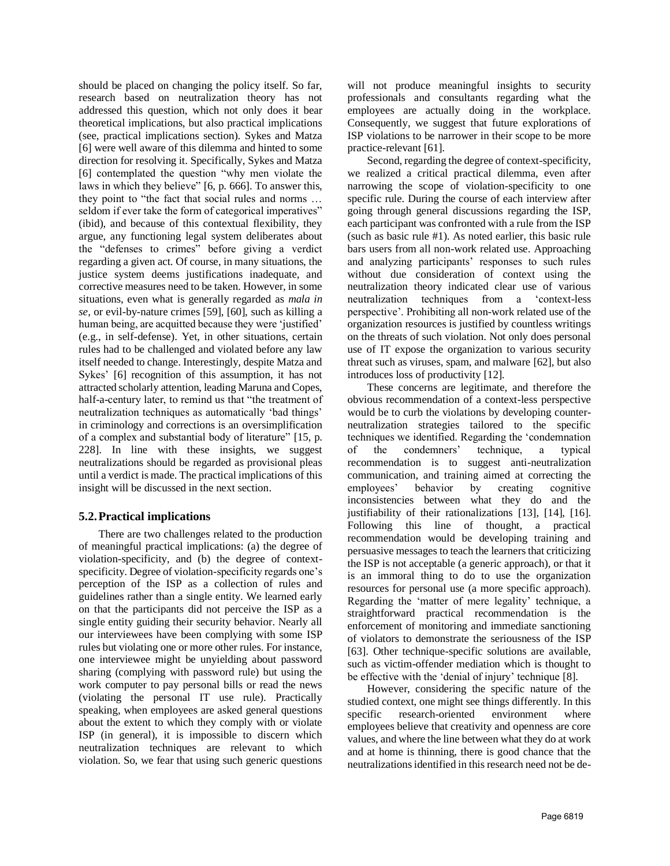should be placed on changing the policy itself. So far, research based on neutralization theory has not addressed this question, which not only does it bear theoretical implications, but also practical implications (see, practical implications section). Sykes and Matza [6] were well aware of this dilemma and hinted to some direction for resolving it. Specifically, Sykes and Matza [6] contemplated the question "why men violate the laws in which they believe" [6, p. 666]. To answer this, they point to "the fact that social rules and norms … seldom if ever take the form of categorical imperatives" (ibid), and because of this contextual flexibility, they argue, any functioning legal system deliberates about the "defenses to crimes" before giving a verdict regarding a given act. Of course, in many situations, the justice system deems justifications inadequate, and corrective measures need to be taken. However, in some situations, even what is generally regarded as *mala in se*, or evil-by-nature crimes [59], [60], such as killing a human being, are acquitted because they were 'justified' (e.g., in self-defense). Yet, in other situations, certain rules had to be challenged and violated before any law itself needed to change. Interestingly, despite Matza and Sykes' [6] recognition of this assumption, it has not attracted scholarly attention, leading Maruna and Copes, half-a-century later, to remind us that "the treatment of neutralization techniques as automatically 'bad things' in criminology and corrections is an oversimplification of a complex and substantial body of literature" [15, p. 228]. In line with these insights, we suggest neutralizations should be regarded as provisional pleas until a verdict is made. The practical implications of this insight will be discussed in the next section.

## **5.2.Practical implications**

There are two challenges related to the production of meaningful practical implications: (a) the degree of violation-specificity, and (b) the degree of contextspecificity. Degree of violation-specificity regards one's perception of the ISP as a collection of rules and guidelines rather than a single entity. We learned early on that the participants did not perceive the ISP as a single entity guiding their security behavior. Nearly all our interviewees have been complying with some ISP rules but violating one or more other rules. For instance, one interviewee might be unyielding about password sharing (complying with password rule) but using the work computer to pay personal bills or read the news (violating the personal IT use rule). Practically speaking, when employees are asked general questions about the extent to which they comply with or violate ISP (in general), it is impossible to discern which neutralization techniques are relevant to which violation. So, we fear that using such generic questions

will not produce meaningful insights to security professionals and consultants regarding what the employees are actually doing in the workplace. Consequently, we suggest that future explorations of ISP violations to be narrower in their scope to be more practice-relevant [61].

Second, regarding the degree of context-specificity, we realized a critical practical dilemma, even after narrowing the scope of violation-specificity to one specific rule. During the course of each interview after going through general discussions regarding the ISP, each participant was confronted with a rule from the ISP (such as basic rule #1). As noted earlier, this basic rule bars users from all non-work related use. Approaching and analyzing participants' responses to such rules without due consideration of context using the neutralization theory indicated clear use of various neutralization techniques from a 'context-less perspective'. Prohibiting all non-work related use of the organization resources is justified by countless writings on the threats of such violation. Not only does personal use of IT expose the organization to various security threat such as viruses, spam, and malware [62], but also introduces loss of productivity [12].

These concerns are legitimate, and therefore the obvious recommendation of a context-less perspective would be to curb the violations by developing counterneutralization strategies tailored to the specific techniques we identified. Regarding the 'condemnation of the condemners' technique, a typical recommendation is to suggest anti-neutralization communication, and training aimed at correcting the employees' behavior by creating cognitive inconsistencies between what they do and the justifiability of their rationalizations [13], [14], [16]. Following this line of thought, a practical recommendation would be developing training and persuasive messages to teach the learners that criticizing the ISP is not acceptable (a generic approach), or that it is an immoral thing to do to use the organization resources for personal use (a more specific approach). Regarding the 'matter of mere legality' technique, a straightforward practical recommendation is the enforcement of monitoring and immediate sanctioning of violators to demonstrate the seriousness of the ISP [63]. Other technique-specific solutions are available, such as victim-offender mediation which is thought to be effective with the 'denial of injury' technique [8].

However, considering the specific nature of the studied context, one might see things differently. In this specific research-oriented environment where employees believe that creativity and openness are core values, and where the line between what they do at work and at home is thinning, there is good chance that the neutralizations identified in this research need not be de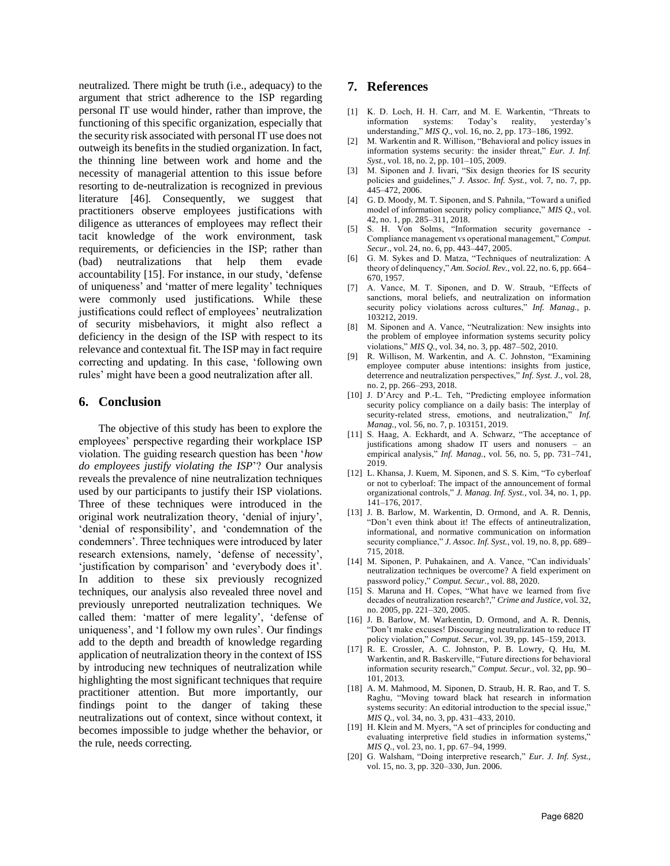neutralized. There might be truth (i.e., adequacy) to the argument that strict adherence to the ISP regarding personal IT use would hinder, rather than improve, the functioning of this specific organization, especially that the security risk associated with personal IT use does not outweigh its benefits in the studied organization. In fact, the thinning line between work and home and the necessity of managerial attention to this issue before resorting to de-neutralization is recognized in previous literature [46]. Consequently, we suggest that practitioners observe employees justifications with diligence as utterances of employees may reflect their tacit knowledge of the work environment, task requirements, or deficiencies in the ISP; rather than (bad) neutralizations that help them evade accountability [15]. For instance, in our study, 'defense of uniqueness' and 'matter of mere legality' techniques were commonly used justifications. While these justifications could reflect of employees' neutralization of security misbehaviors, it might also reflect a deficiency in the design of the ISP with respect to its relevance and contextual fit. The ISP may in fact require correcting and updating. In this case, 'following own rules' might have been a good neutralization after all.

#### **6. Conclusion**

The objective of this study has been to explore the employees' perspective regarding their workplace ISP violation. The guiding research question has been '*how do employees justify violating the ISP*'? Our analysis reveals the prevalence of nine neutralization techniques used by our participants to justify their ISP violations. Three of these techniques were introduced in the original work neutralization theory, 'denial of injury', 'denial of responsibility', and 'condemnation of the condemners'. Three techniques were introduced by later research extensions, namely, 'defense of necessity', 'justification by comparison' and 'everybody does it'. In addition to these six previously recognized techniques, our analysis also revealed three novel and previously unreported neutralization techniques. We called them: 'matter of mere legality', 'defense of uniqueness', and 'I follow my own rules'. Our findings add to the depth and breadth of knowledge regarding application of neutralization theory in the context of ISS by introducing new techniques of neutralization while highlighting the most significant techniques that require practitioner attention. But more importantly, our findings point to the danger of taking these neutralizations out of context, since without context, it becomes impossible to judge whether the behavior, or the rule, needs correcting.

### **7. References**

- [1] K. D. Loch, H. H. Carr, and M. E. Warkentin, "Threats to information systems: Today's reality, yesterday's understanding," *MIS Q.*, vol. 16, no. 2, pp. 173–186, 1992.
- [2] M. Warkentin and R. Willison, "Behavioral and policy issues in information systems security: the insider threat," *Eur. J. Inf. Syst.*, vol. 18, no. 2, pp. 101–105, 2009.
- [3] M. Siponen and J. Iivari, "Six design theories for IS security policies and guidelines," *J. Assoc. Inf. Syst.*, vol. 7, no. 7, pp. 445–472, 2006.
- [4] G. D. Moody, M. T. Siponen, and S. Pahnila, "Toward a unified model of information security policy compliance," *MIS Q.*, vol. 42, no. 1, pp. 285–311, 2018.
- [5] S. H. Von Solms, "Information security governance Compliance management vs operational management," *Comput. Secur.*, vol. 24, no. 6, pp. 443–447, 2005.
- [6] G. M. Sykes and D. Matza, "Techniques of neutralization: A theory of delinquency," *Am. Sociol. Rev.*, vol. 22, no. 6, pp. 664– 670, 1957.
- [7] A. Vance, M. T. Siponen, and D. W. Straub, "Effects of sanctions, moral beliefs, and neutralization on information security policy violations across cultures," *Inf. Manag.*, p. 103212, 2019.
- [8] M. Siponen and A. Vance, "Neutralization: New insights into the problem of employee information systems security policy violations," *MIS Q.*, vol. 34, no. 3, pp. 487–502, 2010.
- [9] R. Willison, M. Warkentin, and A. C. Johnston, "Examining employee computer abuse intentions: insights from justice, deterrence and neutralization perspectives," *Inf. Syst. J.*, vol. 28, no. 2, pp. 266–293, 2018.
- [10] J. D'Arcy and P.-L. Teh, "Predicting employee information security policy compliance on a daily basis: The interplay of security-related stress, emotions, and neutralization," *Inf. Manag.*, vol. 56, no. 7, p. 103151, 2019.
- [11] S. Haag, A. Eckhardt, and A. Schwarz, "The acceptance of justifications among shadow IT users and nonusers – an empirical analysis," *Inf. Manag.*, vol. 56, no. 5, pp. 731–741, 2019.
- [12] L. Khansa, J. Kuem, M. Siponen, and S. S. Kim, "To cyberloaf or not to cyberloaf: The impact of the announcement of formal organizational controls," *J. Manag. Inf. Syst.*, vol. 34, no. 1, pp. 141–176, 2017.
- [13] J. B. Barlow, M. Warkentin, D. Ormond, and A. R. Dennis, "Don't even think about it! The effects of antineutralization, informational, and normative communication on information security compliance," *J. Assoc. Inf. Syst.*, vol. 19, no. 8, pp. 689– 715, 2018.
- [14] M. Siponen, P. Puhakainen, and A. Vance, "Can individuals" neutralization techniques be overcome? A field experiment on password policy," *Comput. Secur.*, vol. 88, 2020.
- [15] S. Maruna and H. Copes, "What have we learned from five decades of neutralization research?," *Crime and Justice*, vol. 32, no. 2005, pp. 221–320, 2005.
- [16] J. B. Barlow, M. Warkentin, D. Ormond, and A. R. Dennis, "Don't make excuses! Discouraging neutralization to reduce IT policy violation," *Comput. Secur.*, vol. 39, pp. 145–159, 2013.
- [17] R. E. Crossler, A. C. Johnston, P. B. Lowry, Q. Hu, M. Warkentin, and R. Baskerville, "Future directions for behavioral information security research," *Comput. Secur.*, vol. 32, pp. 90– 101, 2013.
- [18] A. M. Mahmood, M. Siponen, D. Straub, H. R. Rao, and T. S. Raghu, "Moving toward black hat research in information systems security: An editorial introduction to the special issue," *MIS Q.*, vol. 34, no. 3, pp. 431–433, 2010.
- [19] H. Klein and M. Myers, "A set of principles for conducting and evaluating interpretive field studies in information systems," *MIS Q.*, vol. 23, no. 1, pp. 67–94, 1999.
- [20] G. Walsham, "Doing interpretive research," *Eur. J. Inf. Syst.*, vol. 15, no. 3, pp. 320–330, Jun. 2006.